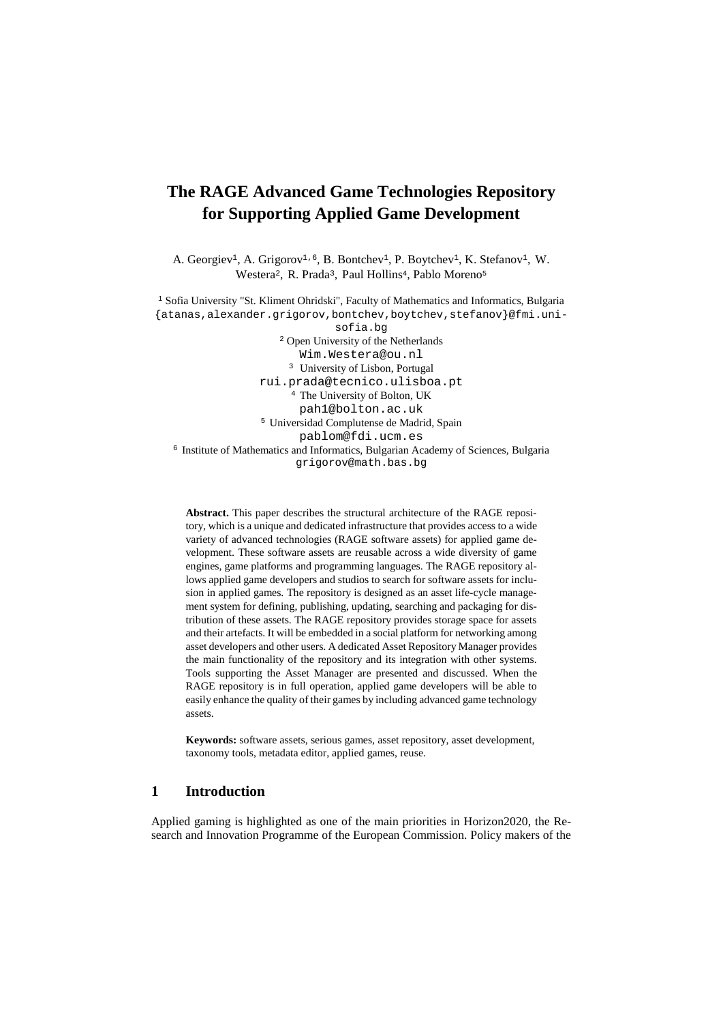# **The RAGE Advanced Game Technologies Repository for Supporting Applied Game Development**

A. Georgiev<sup>1</sup>, A. Grigorov<sup>1, 6</sup>, B. Bontchev<sup>1</sup>, P. Boytchev<sup>1</sup>, K. Stefanov<sup>1</sup>, W. Westera<sup>2</sup>, R. Prada<sup>3</sup>, Paul Hollins<sup>4</sup>, Pablo Moreno<sup>5</sup>

<sup>1</sup> Sofia University "St. Kliment Ohridski", Faculty of Mathematics and Informatics, Bulgaria {atanas,alexander.grigorov,bontchev,boytchev,stefanov}@fmi.unisofia.bg

<sup>2</sup> Open University of the Netherlands Wim.Westera@ou.nl <sup>3</sup> University of Lisbon, Portugal rui.prada@tecnico.ulisboa.pt <sup>4</sup> The University of Bolton, UK pah1@bolton.ac.uk <sup>5</sup> Universidad Complutense de Madrid, Spain [pablom@fdi.ucm.es](mailto:pablom@fdi.ucm.es) <sup>6</sup> Institute of Mathematics and Informatics, Bulgarian Academy of Sciences, Bulgaria grigorov@math.bas.bg

**Abstract.** This paper describes the structural architecture of the RAGE repository, which is a unique and dedicated infrastructure that provides access to a wide variety of advanced technologies (RAGE software assets) for applied game development. These software assets are reusable across a wide diversity of game engines, game platforms and programming languages. The RAGE repository allows applied game developers and studios to search for software assets for inclusion in applied games. The repository is designed as an asset life-cycle management system for defining, publishing, updating, searching and packaging for distribution of these assets. The RAGE repository provides storage space for assets and their artefacts. It will be embedded in a social platform for networking among asset developers and other users. A dedicated Asset Repository Manager provides the main functionality of the repository and its integration with other systems. Tools supporting the Asset Manager are presented and discussed. When the RAGE repository is in full operation, applied game developers will be able to easily enhance the quality of their games by including advanced game technology assets.

**Keywords:** software assets, serious games, asset repository, asset development, taxonomy tools, metadata editor, applied games, reuse.

## **1 Introduction**

Applied gaming is highlighted as one of the main priorities in Horizon2020, the Research and Innovation Programme of the European Commission. Policy makers of the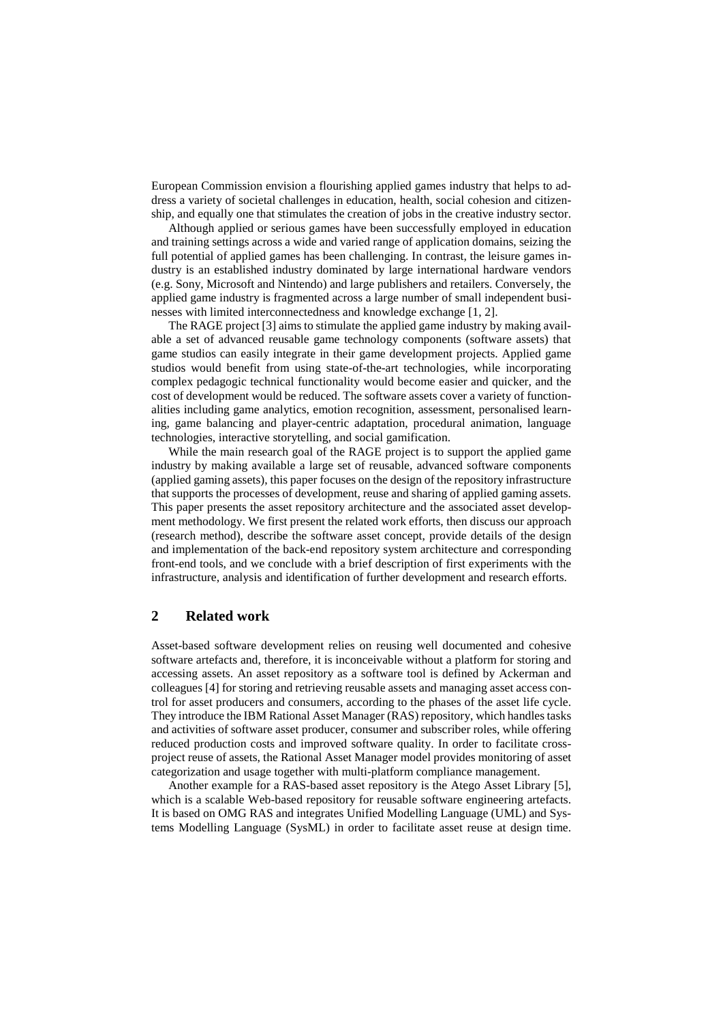European Commission envision a flourishing applied games industry that helps to address a variety of societal challenges in education, health, social cohesion and citizenship, and equally one that stimulates the creation of jobs in the creative industry sector.

Although applied or serious games have been successfully employed in education and training settings across a wide and varied range of application domains, seizing the full potential of applied games has been challenging. In contrast, the leisure games industry is an established industry dominated by large international hardware vendors (e.g. Sony, Microsoft and Nintendo) and large publishers and retailers. Conversely, the applied game industry is fragmented across a large number of small independent businesses with limited interconnectedness and knowledge exchange [1, 2].

The RAGE project [3] aims to stimulate the applied game industry by making available a set of advanced reusable game technology components (software assets) that game studios can easily integrate in their game development projects. Applied game studios would benefit from using state-of-the-art technologies, while incorporating complex pedagogic technical functionality would become easier and quicker, and the cost of development would be reduced. The software assets cover a variety of functionalities including game analytics, emotion recognition, assessment, personalised learning, game balancing and player-centric adaptation, procedural animation, language technologies, interactive storytelling, and social gamification.

While the main research goal of the RAGE project is to support the applied game industry by making available a large set of reusable, advanced software components (applied gaming assets), this paper focuses on the design of the repository infrastructure that supports the processes of development, reuse and sharing of applied gaming assets. This paper presents the asset repository architecture and the associated asset development methodology. We first present the related work efforts, then discuss our approach (research method), describe the software asset concept, provide details of the design and implementation of the back-end repository system architecture and corresponding front-end tools, and we conclude with a brief description of first experiments with the infrastructure, analysis and identification of further development and research efforts.

#### **2 Related work**

Asset-based software development relies on reusing well documented and cohesive software artefacts and, therefore, it is inconceivable without a platform for storing and accessing assets. An asset repository as a software tool is defined by Ackerman and colleagues [4] for storing and retrieving reusable assets and managing asset access control for asset producers and consumers, according to the phases of the asset life cycle. They introduce the IBM Rational Asset Manager (RAS) repository, which handles tasks and activities of software asset producer, consumer and subscriber roles, while offering reduced production costs and improved software quality. In order to facilitate crossproject reuse of assets, the Rational Asset Manager model provides monitoring of asset categorization and usage together with multi-platform compliance management.

Another example for a RAS-based asset repository is the Atego Asset Library [5], which is a scalable Web-based repository for reusable software engineering artefacts. It is based on OMG RAS and integrates Unified Modelling Language (UML) and Systems Modelling Language (SysML) in order to facilitate asset reuse at design time.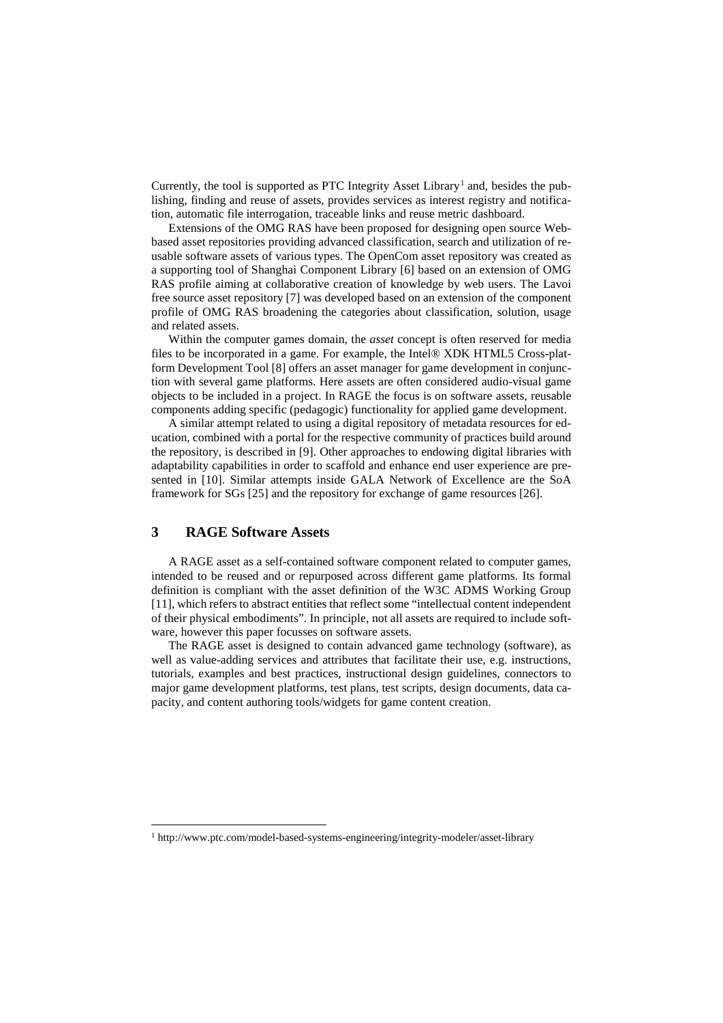Currently, the tool is supported as PTC Integrity Asset Library<sup>[1](#page-2-0)</sup> and, besides the publishing, finding and reuse of assets, provides services as interest registry and notification, automatic file interrogation, traceable links and reuse metric dashboard.

Extensions of the OMG RAS have been proposed for designing open source Webbased asset repositories providing advanced classification, search and utilization of reusable software assets of various types. The OpenCom asset repository was created as a supporting tool of Shanghai Component Library [6] based on an extension of OMG RAS profile aiming at collaborative creation of knowledge by web users. The Lavoi free source asset repository [7] was developed based on an extension of the component profile of OMG RAS broadening the categories about classification, solution, usage and related assets.

Within the computer games domain, the *asset* concept is often reserved for media files to be incorporated in a game. For example, the Intel® XDK HTML5 Cross-platform Development Tool [8] offers an asset manager for game development in conjunction with several game platforms. Here assets are often considered audio-visual game objects to be included in a project. In RAGE the focus is on software assets, reusable components adding specific (pedagogic) functionality for applied game development.

A similar attempt related to using a digital repository of metadata resources for education, combined with a portal for the respective community of practices build around the repository, is described in [9]. Other approaches to endowing digital libraries with adaptability capabilities in order to scaffold and enhance end user experience are presented in [10]. Similar attempts inside GALA Network of Excellence are the SoA framework for SGs [25] and the repository for exchange of game resources [26].

#### **3 RAGE Software Assets**

A RAGE asset as a self-contained software component related to computer games, intended to be reused and or repurposed across different game platforms. Its formal definition is compliant with the asset definition of the W3C ADMS Working Group [11], which refers to abstract entities that reflect some "intellectual content independent" of their physical embodiments". In principle, not all assets are required to include software, however this paper focusses on software assets.

The RAGE asset is designed to contain advanced game technology (software), as well as value-adding services and attributes that facilitate their use, e.g. instructions, tutorials, examples and best practices, instructional design guidelines, connectors to major game development platforms, test plans, test scripts, design documents, data capacity, and content authoring tools/widgets for game content creation.

<span id="page-2-0"></span> <sup>1</sup> http://www.ptc.com/model-based-systems-engineering/integrity-modeler/asset-library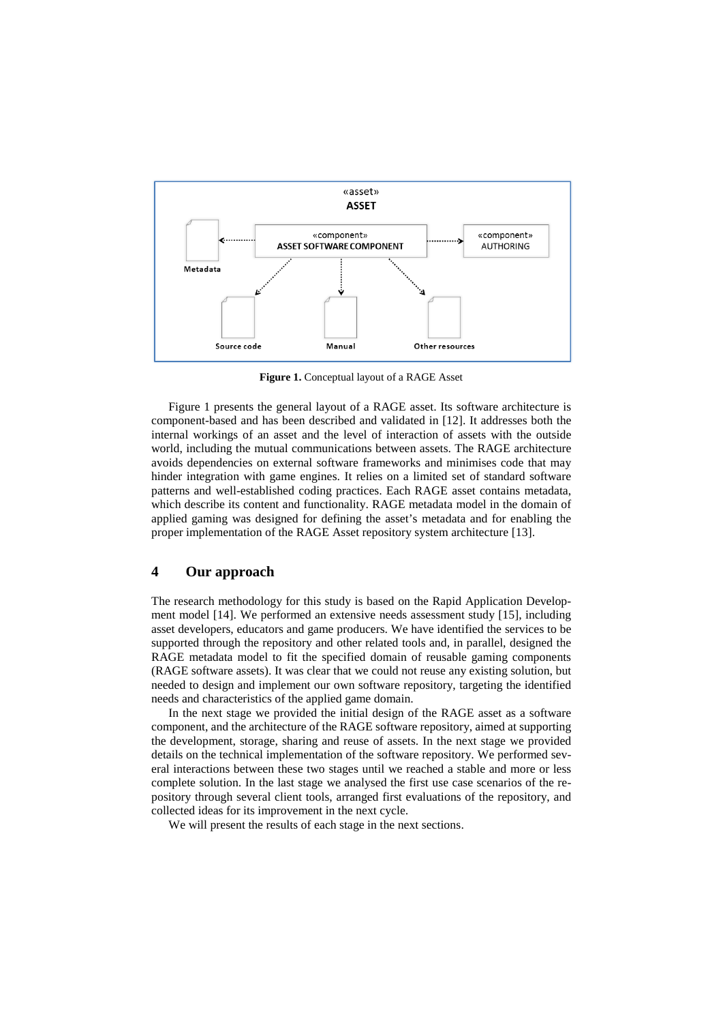

**Figure 1.** Conceptual layout of a RAGE Asset

Figure 1 presents the general layout of a RAGE asset. Its software architecture is component-based and has been described and validated in [12]. It addresses both the internal workings of an asset and the level of interaction of assets with the outside world, including the mutual communications between assets. The RAGE architecture avoids dependencies on external software frameworks and minimises code that may hinder integration with game engines. It relies on a limited set of standard software patterns and well-established coding practices. Each RAGE asset contains metadata, which describe its content and functionality. RAGE metadata model in the domain of applied gaming was designed for defining the asset's metadata and for enabling the proper implementation of the RAGE Asset repository system architecture [13].

## **4 Our approach**

The research methodology for this study is based on the Rapid Application Development model [14]. We performed an extensive needs assessment study [15], including asset developers, educators and game producers. We have identified the services to be supported through the repository and other related tools and, in parallel, designed the RAGE metadata model to fit the specified domain of reusable gaming components (RAGE software assets). It was clear that we could not reuse any existing solution, but needed to design and implement our own software repository, targeting the identified needs and characteristics of the applied game domain.

In the next stage we provided the initial design of the RAGE asset as a software component, and the architecture of the RAGE software repository, aimed at supporting the development, storage, sharing and reuse of assets. In the next stage we provided details on the technical implementation of the software repository. We performed several interactions between these two stages until we reached a stable and more or less complete solution. In the last stage we analysed the first use case scenarios of the repository through several client tools, arranged first evaluations of the repository, and collected ideas for its improvement in the next cycle.

We will present the results of each stage in the next sections.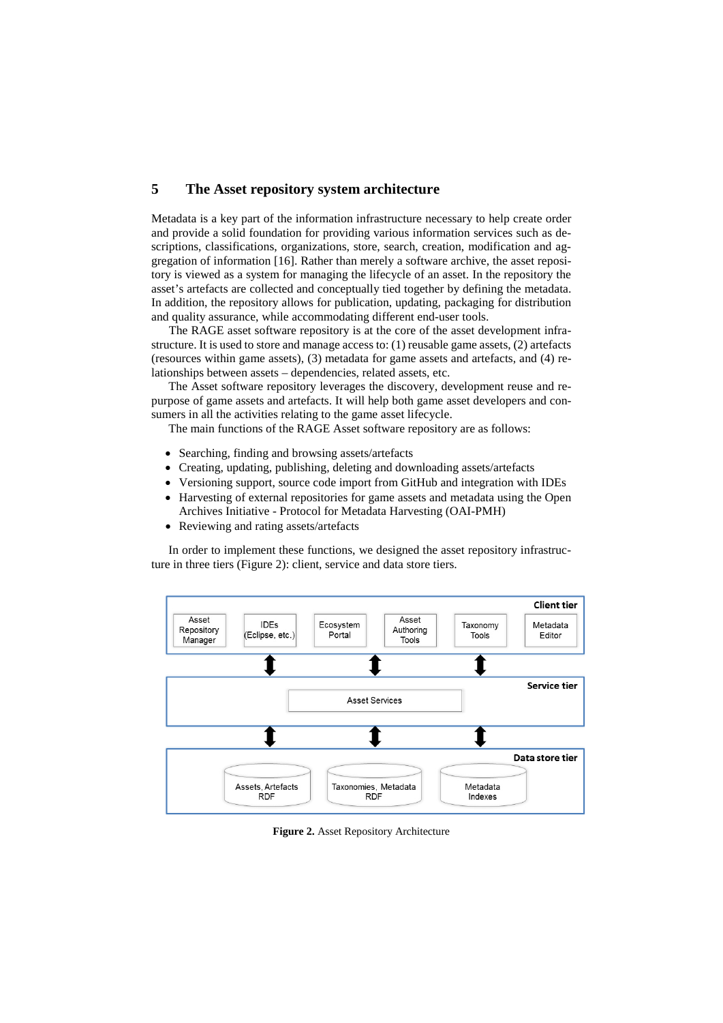## **5 The Asset repository system architecture**

Metadata is a key part of the information infrastructure necessary to help create order and provide a solid foundation for providing various information services such as descriptions, classifications, organizations, store, search, creation, modification and aggregation of information [16]. Rather than merely a software archive, the asset repository is viewed as a system for managing the lifecycle of an asset. In the repository the asset's artefacts are collected and conceptually tied together by defining the metadata. In addition, the repository allows for publication, updating, packaging for distribution and quality assurance, while accommodating different end-user tools.

The RAGE asset software repository is at the core of the asset development infrastructure. It is used to store and manage access to: (1) reusable game assets, (2) artefacts (resources within game assets), (3) metadata for game assets and artefacts, and (4) relationships between assets – dependencies, related assets, etc.

The Asset software repository leverages the discovery, development reuse and repurpose of game assets and artefacts. It will help both game asset developers and consumers in all the activities relating to the game asset lifecycle.

The main functions of the RAGE Asset software repository are as follows:

- Searching, finding and browsing assets/artefacts
- Creating, updating, publishing, deleting and downloading assets/artefacts
- Versioning support, source code import from GitHub and integration with IDEs
- Harvesting of external repositories for game assets and metadata using the Open Archives Initiative - Protocol for Metadata Harvesting (OAI-PMH)
- Reviewing and rating assets/artefacts

In order to implement these functions, we designed the asset repository infrastructure in three tiers (Figure 2): client, service and data store tiers.



**Figure 2.** Asset Repository Architecture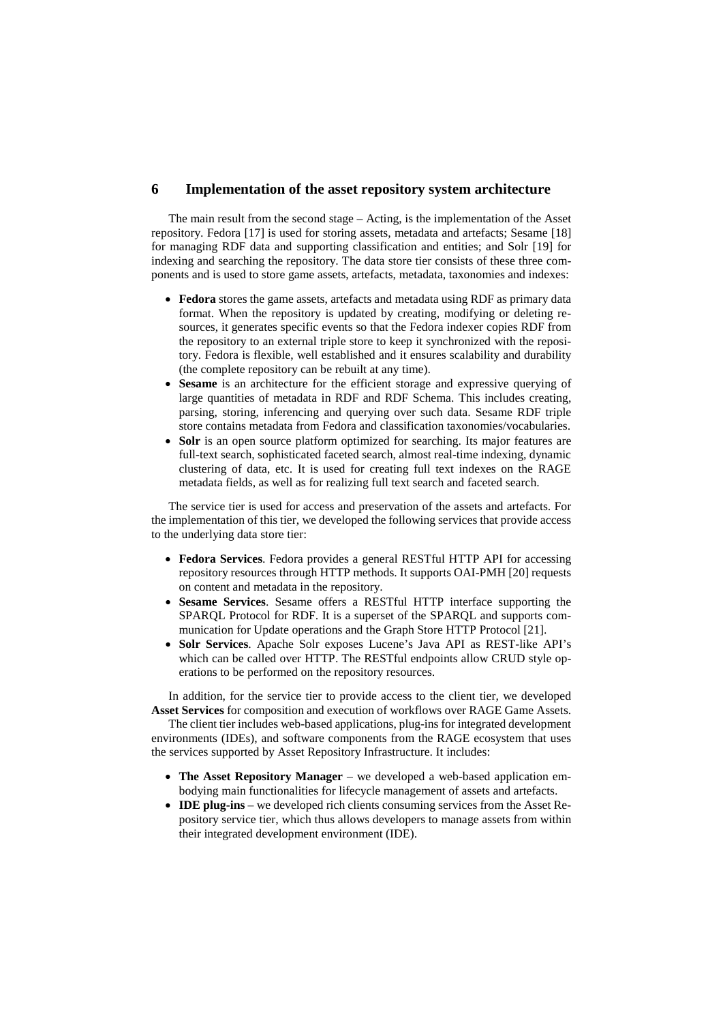## **6 Implementation of the asset repository system architecture**

The main result from the second stage – Acting, is the implementation of the Asset repository. Fedora [17] is used for storing assets, metadata and artefacts; Sesame [18] for managing RDF data and supporting classification and entities; and Solr [19] for indexing and searching the repository. The data store tier consists of these three components and is used to store game assets, artefacts, metadata, taxonomies and indexes:

- **Fedora** stores the game assets, artefacts and metadata using RDF as primary data format. When the repository is updated by creating, modifying or deleting resources, it generates specific events so that the Fedora indexer copies RDF from the repository to an external triple store to keep it synchronized with the repository. Fedora is flexible, well established and it ensures scalability and durability (the complete repository can be rebuilt at any time).
- **Sesame** is an architecture for the efficient storage and expressive querying of large quantities of metadata in RDF and RDF Schema. This includes creating, parsing, storing, inferencing and querying over such data. Sesame RDF triple store contains metadata from Fedora and classification taxonomies/vocabularies.
- **Solr** is an open source platform optimized for searching. Its major features are full-text search, sophisticated faceted search, almost real-time indexing, dynamic clustering of data, etc. It is used for creating full text indexes on the RAGE metadata fields, as well as for realizing full text search and faceted search.

The service tier is used for access and preservation of the assets and artefacts. For the implementation of this tier, we developed the following services that provide access to the underlying data store tier:

- **Fedora Services**. Fedora provides a general RESTful HTTP API for accessing repository resources through HTTP methods. It supports OAI-PMH [20] requests on content and metadata in the repository.
- **Sesame Services**. Sesame offers a RESTful HTTP interface supporting the SPARQL Protocol for RDF. It is a superset of the SPARQL and supports communication for Update operations and the Graph Store HTTP Protocol [21].
- **Solr Services**. Apache Solr exposes Lucene's Java API as REST-like API's which can be called over HTTP. The RESTful endpoints allow CRUD style operations to be performed on the repository resources.

In addition, for the service tier to provide access to the client tier, we developed **Asset Services** for composition and execution of workflows over RAGE Game Assets.

The client tier includes web-based applications, plug-ins for integrated development environments (IDEs), and software components from the RAGE ecosystem that uses the services supported by Asset Repository Infrastructure. It includes:

- **The Asset Repository Manager**  we developed a web-based application embodying main functionalities for lifecycle management of assets and artefacts.
- **IDE plug-ins** we developed rich clients consuming services from the Asset Repository service tier, which thus allows developers to manage assets from within their integrated development environment (IDE).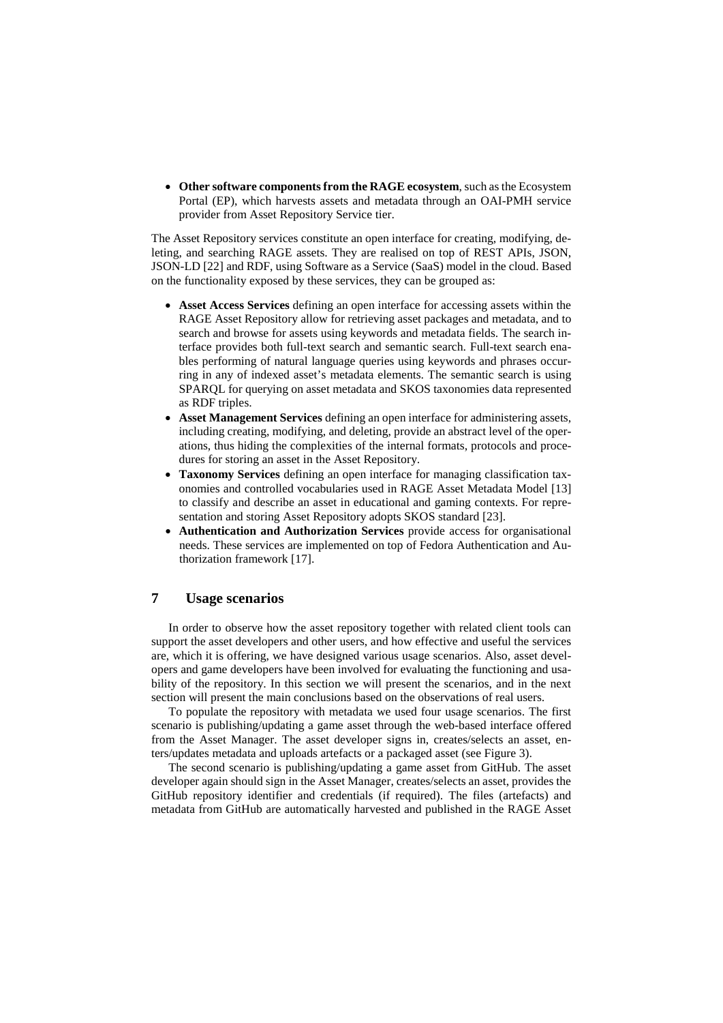• **Other software components from the RAGE ecosystem**, such as the Ecosystem Portal (EP), which harvests assets and metadata through an OAI-PMH service provider from Asset Repository Service tier.

The Asset Repository services constitute an open interface for creating, modifying, deleting, and searching RAGE assets. They are realised on top of REST APIs, JSON, JSON-LD [22] and RDF, using Software as a Service (SaaS) model in the cloud. Based on the functionality exposed by these services, they can be grouped as:

- **Asset Access Services** defining an open interface for accessing assets within the RAGE Asset Repository allow for retrieving asset packages and metadata, and to search and browse for assets using keywords and metadata fields. The search interface provides both full-text search and semantic search. Full-text search enables performing of natural language queries using keywords and phrases occurring in any of indexed asset's metadata elements. The semantic search is using SPARQL for querying on asset metadata and SKOS taxonomies data represented as RDF triples.
- **Asset Management Services** defining an open interface for administering assets, including creating, modifying, and deleting, provide an abstract level of the operations, thus hiding the complexities of the internal formats, protocols and procedures for storing an asset in the Asset Repository.
- **Taxonomy Services** defining an open interface for managing classification taxonomies and controlled vocabularies used in RAGE Asset Metadata Model [13] to classify and describe an asset in educational and gaming contexts. For representation and storing Asset Repository adopts SKOS standard [23].
- **Authentication and Authorization Services** provide access for organisational needs. These services are implemented on top of Fedora Authentication and Authorization framework [17].

#### **7 Usage scenarios**

In order to observe how the asset repository together with related client tools can support the asset developers and other users, and how effective and useful the services are, which it is offering, we have designed various usage scenarios. Also, asset developers and game developers have been involved for evaluating the functioning and usability of the repository. In this section we will present the scenarios, and in the next section will present the main conclusions based on the observations of real users.

To populate the repository with metadata we used four usage scenarios. The first scenario is publishing/updating a game asset through the web-based interface offered from the Asset Manager. The asset developer signs in, creates/selects an asset, enters/updates metadata and uploads artefacts or a packaged asset (see [Figure 3\)](#page-7-0).

The second scenario is publishing/updating a game asset from GitHub. The asset developer again should sign in the Asset Manager, creates/selects an asset, provides the GitHub repository identifier and credentials (if required). The files (artefacts) and metadata from GitHub are automatically harvested and published in the RAGE Asset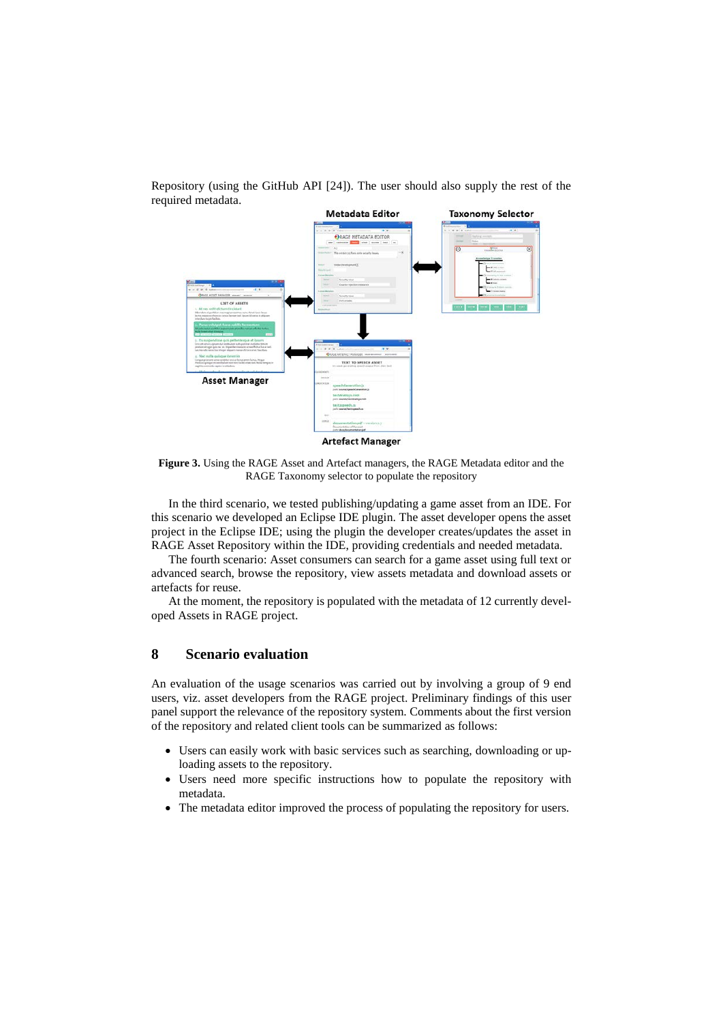

Repository (using the GitHub API [24]). The user should also supply the rest of the required metadata.

<span id="page-7-0"></span>**Figure 3.** Using the RAGE Asset and Artefact managers, the RAGE Metadata editor and the RAGE Taxonomy selector to populate the repository

In the third scenario, we tested publishing/updating a game asset from an IDE. For this scenario we developed an Eclipse IDE plugin. The asset developer opens the asset project in the Eclipse IDE; using the plugin the developer creates/updates the asset in RAGE Asset Repository within the IDE, providing credentials and needed metadata.

The fourth scenario: Asset consumers can search for a game asset using full text or advanced search, browse the repository, view assets metadata and download assets or artefacts for reuse.

At the moment, the repository is populated with the metadata of 12 currently developed Assets in RAGE project.

#### **8 Scenario evaluation**

An evaluation of the usage scenarios was carried out by involving a group of 9 end users, viz. asset developers from the RAGE project. Preliminary findings of this user panel support the relevance of the repository system. Comments about the first version of the repository and related client tools can be summarized as follows:

- Users can easily work with basic services such as searching, downloading or uploading assets to the repository.
- Users need more specific instructions how to populate the repository with metadata.
- The metadata editor improved the process of populating the repository for users.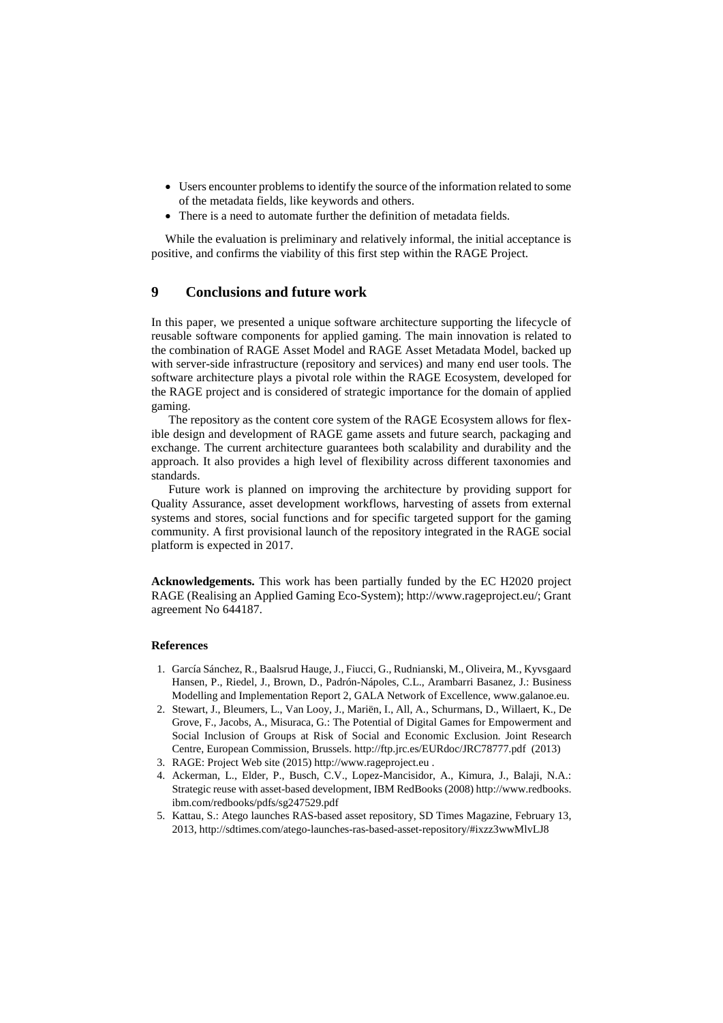- Users encounter problems to identify the source of the information related to some of the metadata fields, like keywords and others.
- There is a need to automate further the definition of metadata fields.

While the evaluation is preliminary and relatively informal, the initial acceptance is positive, and confirms the viability of this first step within the RAGE Project.

# **9 Conclusions and future work**

In this paper, we presented a unique software architecture supporting the lifecycle of reusable software components for applied gaming. The main innovation is related to the combination of RAGE Asset Model and RAGE Asset Metadata Model, backed up with server-side infrastructure (repository and services) and many end user tools. The software architecture plays a pivotal role within the RAGE Ecosystem, developed for the RAGE project and is considered of strategic importance for the domain of applied gaming.

The repository as the content core system of the RAGE Ecosystem allows for flexible design and development of RAGE game assets and future search, packaging and exchange. The current architecture guarantees both scalability and durability and the approach. It also provides a high level of flexibility across different taxonomies and standards.

Future work is planned on improving the architecture by providing support for Quality Assurance, asset development workflows, harvesting of assets from external systems and stores, social functions and for specific targeted support for the gaming community. A first provisional launch of the repository integrated in the RAGE social platform is expected in 2017.

**Acknowledgements.** This work has been partially funded by the EC H2020 project RAGE (Realising an Applied Gaming Eco-System); http://www.rageproject.eu/; Grant agreement No 644187.

#### **References**

- 1. García Sánchez, R., Baalsrud Hauge, J., Fiucci, G., Rudnianski, M., Oliveira, M., Kyvsgaard Hansen, P., Riedel, J., Brown, D., Padrón-Nápoles, C.L., Arambarri Basanez, J.: Business Modelling and Implementation Report 2, GALA Network of Excellence, www.galanoe.eu.
- 2. Stewart, J., Bleumers, L., Van Looy, J., Mariën, I., All, A., Schurmans, D., Willaert, K., De Grove, F., Jacobs, A., Misuraca, G.: The Potential of Digital Games for Empowerment and Social Inclusion of Groups at Risk of Social and Economic Exclusion. Joint Research Centre, European Commission, Brussels. http://ftp.jrc.es/EURdoc/JRC78777.pdf (2013)
- 3. RAGE: Project Web site (2015) [http://www.rageproject.eu](http://www.rageproject.eu/) .
- 4. Ackerman, L., Elder, P., Busch, C.V., Lopez-Mancisidor, A., Kimura, J., Balaji, N.A.: Strategic reuse with asset-based development, IBM RedBooks (2008) http://www.redbooks. ibm.com/redbooks/pdfs/sg247529.pdf
- 5. Kattau, S.: Atego launches RAS-based asset repository, SD Times Magazine, February 13, 2013, http://sdtimes.com/atego-launches-ras-based-asset-repository/#ixzz3wwMlvLJ8